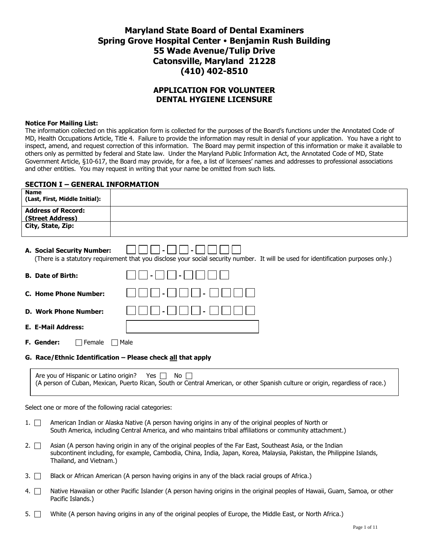# **Maryland State Board of Dental Examiners Spring Grove Hospital Center Benjamin Rush Building 55 Wade Avenue/Tulip Drive Catonsville, Maryland 21228 (410) 402-8510**

## **APPLICATION FOR VOLUNTEER DENTAL HYGIENE LICENSURE**

#### **Notice For Mailing List:**

The information collected on this application form is collected for the purposes of the Board's functions under the Annotated Code of MD, Health Occupations Article, Title 4. Failure to provide the information may result in denial of your application. You have a right to inspect, amend, and request correction of this information. The Board may permit inspection of this information or make it available to others only as permitted by federal and State law. Under the Maryland Public Information Act, the Annotated Code of MD, State Government Article, §10-617, the Board may provide, for a fee, a list of licensees' names and addresses to professional associations and other entities. You may request in writing that your name be omitted from such lists.

## **SECTION I – GENERAL INFORMATION**

| Name<br>(Last, First, Middle Initial):                                                                                                                                                                                                                                        |  |  |
|-------------------------------------------------------------------------------------------------------------------------------------------------------------------------------------------------------------------------------------------------------------------------------|--|--|
| <b>Address of Record:</b><br>(Street Address)                                                                                                                                                                                                                                 |  |  |
| City, State, Zip:                                                                                                                                                                                                                                                             |  |  |
| A. Social Security Number:<br>(There is a statutory requirement that you disclose your social security number. It will be used for identification purposes only.)                                                                                                             |  |  |
| <b>B. Date of Birth:</b>                                                                                                                                                                                                                                                      |  |  |
| <b>C. Home Phone Number:</b>                                                                                                                                                                                                                                                  |  |  |
| <b>D. Work Phone Number:</b>                                                                                                                                                                                                                                                  |  |  |
| E. E-Mail Address:                                                                                                                                                                                                                                                            |  |  |
| F. Gender:<br>$\Box$ Female<br>$\Box$ Male                                                                                                                                                                                                                                    |  |  |
| G. Race/Ethnic Identification - Please check all that apply                                                                                                                                                                                                                   |  |  |
| Are you of Hispanic or Latino origin?<br>Yes $\Box$ No $\Box$<br>(A person of Cuban, Mexican, Puerto Rican, South or Central American, or other Spanish culture or origin, regardless of race.)                                                                               |  |  |
| Select one or more of the following racial categories:                                                                                                                                                                                                                        |  |  |
| American Indian or Alaska Native (A person having origins in any of the original peoples of North or<br>$1. \Box$<br>South America, including Central America, and who maintains tribal affiliations or community attachment.)                                                |  |  |
| Asian (A person having origin in any of the original peoples of the Far East, Southeast Asia, or the Indian<br>$2. \Box$<br>subcontinent including, for example, Cambodia, China, India, Japan, Korea, Malaysia, Pakistan, the Philippine Islands,<br>Thailand, and Vietnam.) |  |  |
| Black or African American (A person having origins in any of the black racial groups of Africa.)<br>$3.$ $\Box$                                                                                                                                                               |  |  |

- 4.  $\Box$  Native Hawaiian or other Pacific Islander (A person having origins in the original peoples of Hawaii, Guam, Samoa, or other Pacific Islands.)
- 5.  $\Box$  White (A person having origins in any of the original peoples of Europe, the Middle East, or North Africa.)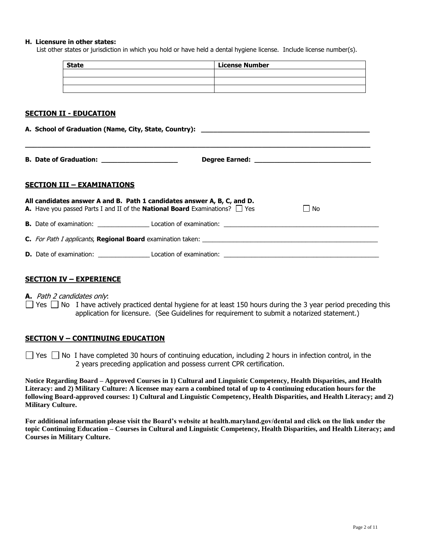#### **H. Licensure in other states:**

List other states or jurisdiction in which you hold or have held a dental hygiene license. Include license number(s).

| <b>State</b> | <b>License Number</b> |
|--------------|-----------------------|
|              |                       |
|              |                       |
|              |                       |

#### **SECTION II - EDUCATION**

|                                   | <b>B. Date of Graduation:</b> ________________________                                                                                                              |  |  |  |
|-----------------------------------|---------------------------------------------------------------------------------------------------------------------------------------------------------------------|--|--|--|
| <b>SECTION III - EXAMINATIONS</b> |                                                                                                                                                                     |  |  |  |
|                                   | All candidates answer A and B. Path 1 candidates answer A, B, C, and D.<br>A. Have you passed Parts I and II of the National Board Examinations? $\Box$ Yes<br>  No |  |  |  |
|                                   |                                                                                                                                                                     |  |  |  |
|                                   |                                                                                                                                                                     |  |  |  |
|                                   |                                                                                                                                                                     |  |  |  |

#### **SECTION IV – EXPERIENCE**

**A.** Path 2 candidates only:

 $\Box$  Yes  $\Box$  No I have actively practiced dental hygiene for at least 150 hours during the 3 year period preceding this application for licensure. (See Guidelines for requirement to submit a notarized statement.)

#### **SECTION V – CONTINUING EDUCATION**

 $\Box$  Yes  $\Box$  No I have completed 30 hours of continuing education, including 2 hours in infection control, in the 2 years preceding application and possess current CPR certification.

**Notice Regarding Board – Approved Courses in 1) Cultural and Linguistic Competency, Health Disparities, and Health Literacy: and 2) Military Culture: A licensee may earn a combined total of up to 4 continuing education hours for the following Board-approved courses: 1) Cultural and Linguistic Competency, Health Disparities, and Health Literacy; and 2) Military Culture.**

**For additional information please visit the Board's website at health.maryland.gov/dental and click on the link under the topic Continuing Education – Courses in Cultural and Linguistic Competency, Health Disparities, and Health Literacy; and Courses in Military Culture.**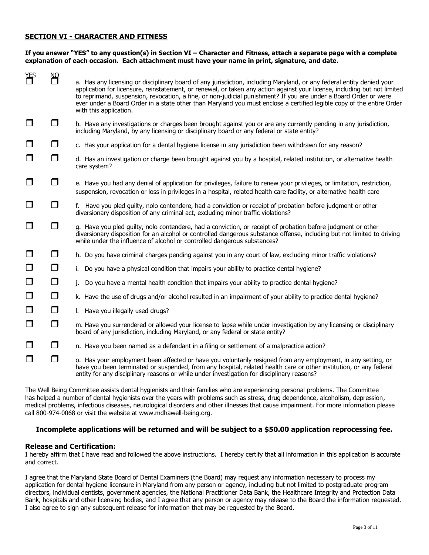### **SECTION VI - CHARACTER AND FITNESS**

#### **If you answer "YES" to any question(s) in Section VI – Character and Fitness, attach a separate page with a complete explanation of each occasion. Each attachment must have your name in print, signature, and date.**

| Ψ      |        |                                                                                                                                                                                                                                                                                                                                                                                                                                                                                                                           |
|--------|--------|---------------------------------------------------------------------------------------------------------------------------------------------------------------------------------------------------------------------------------------------------------------------------------------------------------------------------------------------------------------------------------------------------------------------------------------------------------------------------------------------------------------------------|
|        | NQ     | a. Has any licensing or disciplinary board of any jurisdiction, including Maryland, or any federal entity denied your<br>application for licensure, reinstatement, or renewal, or taken any action against your license, including but not limited<br>to reprimand, suspension, revocation, a fine, or non-judicial punishment? If you are under a Board Order or were<br>ever under a Board Order in a state other than Maryland you must enclose a certified legible copy of the entire Order<br>with this application. |
| $\Box$ | $\Box$ | b. Have any investigations or charges been brought against you or are any currently pending in any jurisdiction,<br>including Maryland, by any licensing or disciplinary board or any federal or state entity?                                                                                                                                                                                                                                                                                                            |
| $\Box$ | $\Box$ | c. Has your application for a dental hygiene license in any jurisdiction been withdrawn for any reason?                                                                                                                                                                                                                                                                                                                                                                                                                   |
| □      | $\Box$ | d. Has an investigation or charge been brought against you by a hospital, related institution, or alternative health<br>care system?                                                                                                                                                                                                                                                                                                                                                                                      |
| $\Box$ | □      | e. Have you had any denial of application for privileges, failure to renew your privileges, or limitation, restriction,<br>suspension, revocation or loss in privileges in a hospital, related health care facility, or alternative health care                                                                                                                                                                                                                                                                           |
| $\Box$ | $\Box$ | f. Have you pled guilty, nolo contendere, had a conviction or receipt of probation before judgment or other<br>diversionary disposition of any criminal act, excluding minor traffic violations?                                                                                                                                                                                                                                                                                                                          |
| $\Box$ | $\Box$ | g. Have you pled guilty, nolo contendere, had a conviction, or receipt of probation before judgment or other<br>diversionary disposition for an alcohol or controlled dangerous substance offense, including but not limited to driving<br>while under the influence of alcohol or controlled dangerous substances?                                                                                                                                                                                                       |
| $\Box$ | $\Box$ | h. Do you have criminal charges pending against you in any court of law, excluding minor traffic violations?                                                                                                                                                                                                                                                                                                                                                                                                              |
| $\Box$ | $\Box$ | i. Do you have a physical condition that impairs your ability to practice dental hygiene?                                                                                                                                                                                                                                                                                                                                                                                                                                 |
| $\Box$ | $\Box$ | Do you have a mental health condition that impairs your ability to practice dental hygiene?<br>j.                                                                                                                                                                                                                                                                                                                                                                                                                         |
| $\Box$ | $\Box$ | k. Have the use of drugs and/or alcohol resulted in an impairment of your ability to practice dental hygiene?                                                                                                                                                                                                                                                                                                                                                                                                             |
| $\Box$ | $\Box$ | I. Have you illegally used drugs?                                                                                                                                                                                                                                                                                                                                                                                                                                                                                         |
| $\Box$ | ◘      | m. Have you surrendered or allowed your license to lapse while under investigation by any licensing or disciplinary<br>board of any jurisdiction, including Maryland, or any federal or state entity?                                                                                                                                                                                                                                                                                                                     |
| $\Box$ | $\Box$ | n. Have you been named as a defendant in a filing or settlement of a malpractice action?                                                                                                                                                                                                                                                                                                                                                                                                                                  |
| $\Box$ | $\Box$ | o. Has your employment been affected or have you voluntarily resigned from any employment, in any setting, or<br>have you been terminated or suspended, from any hospital, related health care or other institution, or any federal<br>entity for any disciplinary reasons or while under investigation for disciplinary reasons?                                                                                                                                                                                         |

The Well Being Committee assists dental hygienists and their families who are experiencing personal problems. The Committee has helped a number of dental hygienists over the years with problems such as stress, drug dependence, alcoholism, depression, medical problems, infectious diseases, neurological disorders and other illnesses that cause impairment. For more information please call 800-974-0068 or visit the website at www.mdhawell-being.org.

#### **Incomplete applications will be returned and will be subject to a \$50.00 application reprocessing fee.**

#### **Release and Certification:**

I hereby affirm that I have read and followed the above instructions. I hereby certify that all information in this application is accurate and correct.

I agree that the Maryland State Board of Dental Examiners (the Board) may request any information necessary to process my application for dental hygiene licensure in Maryland from any person or agency, including but not limited to postgraduate program directors, individual dentists, government agencies, the National Practitioner Data Bank, the Healthcare Integrity and Protection Data Bank, hospitals and other licensing bodies, and I agree that any person or agency may release to the Board the information requested. I also agree to sign any subsequent release for information that may be requested by the Board.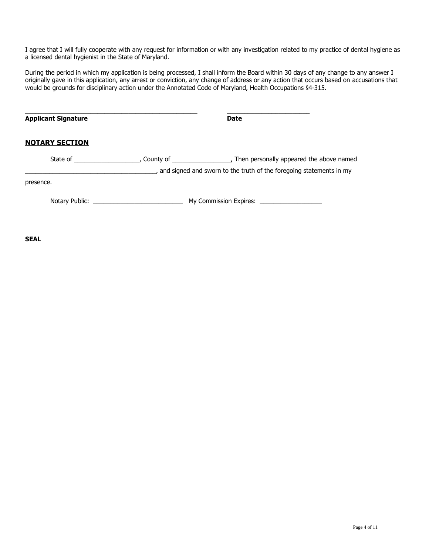I agree that I will fully cooperate with any request for information or with any investigation related to my practice of dental hygiene as a licensed dental hygienist in the State of Maryland.

During the period in which my application is being processed, I shall inform the Board within 30 days of any change to any answer I originally gave in this application, any arrest or conviction, any change of address or any action that occurs based on accusations that would be grounds for disciplinary action under the Annotated Code of Maryland, Health Occupations §4-315.

| <b>Applicant Signature</b>                                                                                      |  | <b>Date</b>                                                                                                                                          |  |
|-----------------------------------------------------------------------------------------------------------------|--|------------------------------------------------------------------------------------------------------------------------------------------------------|--|
| <b>NOTARY SECTION</b>                                                                                           |  |                                                                                                                                                      |  |
| State of the state of the state of the state of the state of the state of the state of the state of the state o |  | _, County of ____________________, Then personally appeared the above named<br>, and signed and sworn to the truth of the foregoing statements in my |  |
| presence.                                                                                                       |  |                                                                                                                                                      |  |
|                                                                                                                 |  |                                                                                                                                                      |  |

**SEAL**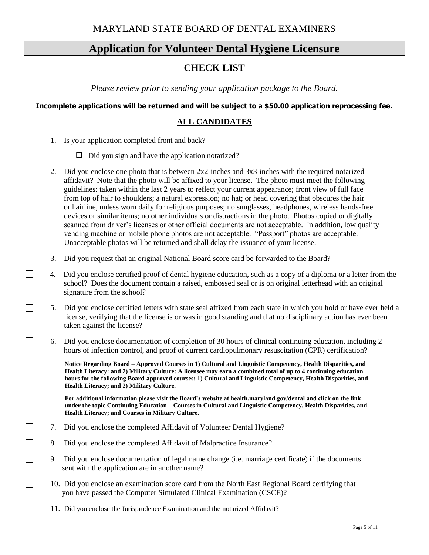# **Application for Volunteer Dental Hygiene Licensure**

# **CHECK LIST**

*Please review prior to sending your application package to the Board.*

## **Incomplete applications will be returned and will be subject to a \$50.00 application reprocessing fee.**

# **ALL CANDIDATES**

1. Is your application completed front and back?

 $\Box$ 

 $\mathbb{R}^n$ 

 $\Box$ 

 $\Box$ 

 $\Box$ 

П

П

П

- $\Box$  Did you sign and have the application notarized?
- 2. Did you enclose one photo that is between 2x2-inches and 3x3-inches with the required notarized affidavit? Note that the photo will be affixed to your license. The photo must meet the following guidelines: taken within the last 2 years to reflect your current appearance; front view of full face from top of hair to shoulders; a natural expression; no hat; or head covering that obscures the hair or hairline, unless worn daily for religious purposes; no sunglasses, headphones, wireless hands-free devices or similar items; no other individuals or distractions in the photo. Photos copied or digitally scanned from driver's licenses or other official documents are not acceptable. In addition, low quality vending machine or mobile phone photos are not acceptable. "Passport" photos are acceptable. Unacceptable photos will be returned and shall delay the issuance of your license.
- 3. Did you request that an original National Board score card be forwarded to the Board?
- 4.Did you enclose certified proof of dental hygiene education, such as a copy of a diploma or a letter from the school? Does the document contain a raised, embossed seal or is on original letterhead with an original signature from the school?
	- 5. Did you enclose certified letters with state seal affixed from each state in which you hold or have ever held a license, verifying that the license is or was in good standing and that no disciplinary action has ever been taken against the license?
		- 6. Did you enclose documentation of completion of 30 hours of clinical continuing education, including 2 hours of infection control, and proof of current cardiopulmonary resuscitation (CPR) certification?

 **Notice Regarding Board – Approved Courses in 1) Cultural and Linguistic Competency, Health Disparities, and Health Literacy: and 2) Military Culture: A licensee may earn a combined total of up to 4 continuing education hours for the following Board-approved courses: 1) Cultural and Linguistic Competency, Health Disparities, and Health Literacy; and 2) Military Culture.**

 **For additional information please visit the Board's website at health.maryland.gov/dental and click on the link under the topic Continuing Education – Courses in Cultural and Linguistic Competency, Health Disparities, and Health Literacy; and Courses in Military Culture.**

- П 7. Did you enclose the completed Affidavit of Volunteer Dental Hygiene?
	- 8. Did you enclose the completed Affidavit of Malpractice Insurance?
	- 9. Did you enclose documentation of legal name change (i.e. marriage certificate) if the documents sent with the application are in another name?
	- 10. Did you enclose an examination score card from the North East Regional Board certifying that you have passed the Computer Simulated Clinical Examination (CSCE)?
- $\Box$ 11. Did you enclose the Jurisprudence Examination and the notarized Affidavit?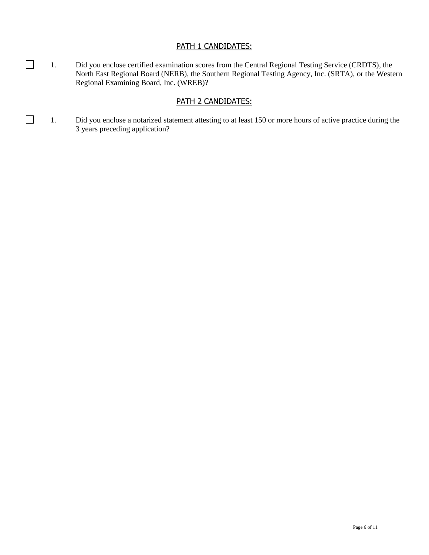## PATH 1 CANDIDATES:

1. Did you enclose certified examination scores from the Central Regional Testing Service (CRDTS), the North East Regional Board (NERB), the Southern Regional Testing Agency, Inc. (SRTA), or the Western Regional Examining Board, Inc. (WREB)?

# PATH 2 CANDIDATES:

1. Did you enclose a notarized statement attesting to at least 150 or more hours of active practice during the 3 years preceding application?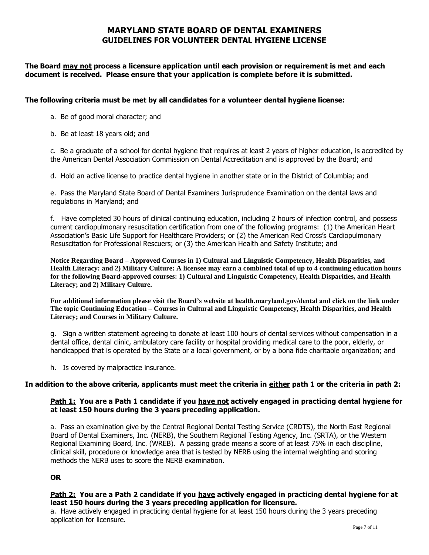## **MARYLAND STATE BOARD OF DENTAL EXAMINERS GUIDELINES FOR VOLUNTEER DENTAL HYGIENE LICENSE**

## **The Board may not process a licensure application until each provision or requirement is met and each document is received. Please ensure that your application is complete before it is submitted.**

### **The following criteria must be met by all candidates for a volunteer dental hygiene license:**

- a. Be of good moral character; and
- b. Be at least 18 years old; and

c. Be a graduate of a school for dental hygiene that requires at least 2 years of higher education, is accredited by the American Dental Association Commission on Dental Accreditation and is approved by the Board; and

d. Hold an active license to practice dental hygiene in another state or in the District of Columbia; and

e. Pass the Maryland State Board of Dental Examiners Jurisprudence Examination on the dental laws and regulations in Maryland; and

f. Have completed 30 hours of clinical continuing education, including 2 hours of infection control, and possess current cardiopulmonary resuscitation certification from one of the following programs: (1) the American Heart Association's Basic Life Support for Healthcare Providers; or (2) the American Red Cross's Cardiopulmonary Resuscitation for Professional Rescuers; or (3) the American Health and Safety Institute; and

**Notice Regarding Board – Approved Courses in 1) Cultural and Linguistic Competency, Health Disparities, and Health Literacy: and 2) Military Culture: A licensee may earn a combined total of up to 4 continuing education hours for the following Board-approved courses: 1) Cultural and Linguistic Competency, Health Disparities, and Health Literacy; and 2) Military Culture.**

**For additional information please visit the Board's website at health.maryland.gov/dental and click on the link under The topic Continuing Education – Courses in Cultural and Linguistic Competency, Health Disparities, and Health Literacy; and Courses in Military Culture.**

g. Sign a written statement agreeing to donate at least 100 hours of dental services without compensation in a dental office, dental clinic, ambulatory care facility or hospital providing medical care to the poor, elderly, or handicapped that is operated by the State or a local government, or by a bona fide charitable organization; and

h. Is covered by malpractice insurance.

#### **In addition to the above criteria, applicants must meet the criteria in either path 1 or the criteria in path 2:**

## **Path 1: You are a Path 1 candidate if you have not actively engaged in practicing dental hygiene for at least 150 hours during the 3 years preceding application.**

a. Pass an examination give by the Central Regional Dental Testing Service (CRDTS), the North East Regional Board of Dental Examiners, Inc. (NERB), the Southern Regional Testing Agency, Inc. (SRTA), or the Western Regional Examining Board, Inc. (WREB). A passing grade means a score of at least 75% in each discipline, clinical skill, procedure or knowledge area that is tested by NERB using the internal weighting and scoring methods the NERB uses to score the NERB examination.

**OR** 

## **Path 2: You are a Path 2 candidate if you have actively engaged in practicing dental hygiene for at least 150 hours during the 3 years preceding application for licensure.**

a. Have actively engaged in practicing dental hygiene for at least 150 hours during the 3 years preceding application for licensure.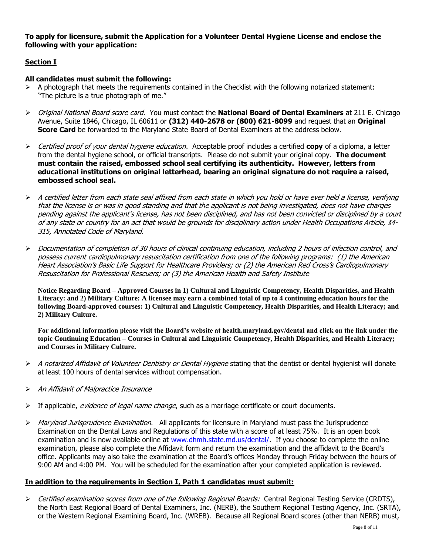### **To apply for licensure, submit the Application for a Volunteer Dental Hygiene License and enclose the following with your application:**

## **Section I**

### **All candidates must submit the following:**

- $\triangleright$  A photograph that meets the requirements contained in the Checklist with the following notarized statement: "The picture is a true photograph of me."
- ➢ Original National Board score card. You must contact the **National Board of Dental Examiners** at 211 E. Chicago Avenue, Suite 1846, Chicago, IL 60611 or **(312) 440-2678 or (800) 621-8099** and request that an **Original Score Card** be forwarded to the Maryland State Board of Dental Examiners at the address below.
- ➢ Certified proof of your dental hygiene education. Acceptable proof includes a certified **copy** of a diploma, a letter from the dental hygiene school, or official transcripts. Please do not submit your original copy. **The document must contain the raised, embossed school seal certifying its authenticity. However, letters from educational institutions on original letterhead, bearing an original signature do not require a raised, embossed school seal.**
- $\triangleright$  A certified letter from each state seal affixed from each state in which you hold or have ever held a license, verifying that the license is or was in good standing and that the applicant is not being investigated, does not have charges pending against the applicant's license, has not been disciplined, and has not been convicted or disciplined by a court of any state or country for an act that would be grounds for disciplinary action under Health Occupations Article, §4- 315, Annotated Code of Maryland.
- $\triangleright$  Documentation of completion of 30 hours of clinical continuing education, including 2 hours of infection control, and possess current cardiopulmonary resuscitation certification from one of the following programs: (1) the American Heart Association's Basic Life Support for Healthcare Providers; or (2) the American Red Cross's Cardiopulmonary Resuscitation for Professional Rescuers; or (3) the American Health and Safety Institute

**Notice Regarding Board – Approved Courses in 1) Cultural and Linguistic Competency, Health Disparities, and Health Literacy: and 2) Military Culture: A licensee may earn a combined total of up to 4 continuing education hours for the following Board-approved courses: 1) Cultural and Linguistic Competency, Health Disparities, and Health Literacy; and 2) Military Culture.**

**For additional information please visit the Board's website at health.maryland.gov/dental and click on the link under the topic Continuing Education – Courses in Cultural and Linguistic Competency, Health Disparities, and Health Literacy; and Courses in Military Culture.**

- $\triangleright$  A notarized Affidavit of Volunteer Dentistry or Dental Hygiene stating that the dentist or dental hygienist will donate at least 100 hours of dental services without compensation.
- ➢ An Affidavit of Malpractice Insurance
- $\triangleright$  If applicable, *evidence of legal name change*, such as a marriage certificate or court documents.
- $\triangleright$  Maryland Jurisprudence Examination. All applicants for licensure in Maryland must pass the Jurisprudence Examination on the Dental Laws and Regulations of this state with a score of at least 75%. It is an open book examination and is now available online at [www.dhmh.state.md.us/dental/.](http://www.dhmh.state.md.us/dental/) If you choose to complete the online examination, please also complete the Affidavit form and return the examination and the affidavit to the Board's office. Applicants may also take the examination at the Board's offices Monday through Friday between the hours of 9:00 AM and 4:00 PM. You will be scheduled for the examination after your completed application is reviewed.

## **In addition to the requirements in Section I, Path 1 candidates must submit:**

➢ Certified examination scores from one of the following Regional Boards: Central Regional Testing Service (CRDTS), the North East Regional Board of Dental Examiners, Inc. (NERB), the Southern Regional Testing Agency, Inc. (SRTA), or the Western Regional Examining Board, Inc. (WREB). Because all Regional Board scores (other than NERB) must,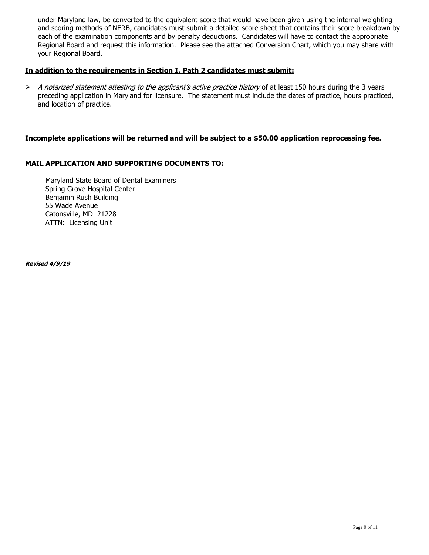under Maryland law, be converted to the equivalent score that would have been given using the internal weighting and scoring methods of NERB, candidates must submit a detailed score sheet that contains their score breakdown by each of the examination components and by penalty deductions. Candidates will have to contact the appropriate Regional Board and request this information. Please see the attached Conversion Chart, which you may share with your Regional Board.

#### **In addition to the requirements in Section I, Path 2 candidates must submit:**

 $\triangleright$  A notarized statement attesting to the applicant's active practice history of at least 150 hours during the 3 years preceding application in Maryland for licensure. The statement must include the dates of practice, hours practiced, and location of practice.

### **Incomplete applications will be returned and will be subject to a \$50.00 application reprocessing fee.**

#### **MAIL APPLICATION AND SUPPORTING DOCUMENTS TO:**

Maryland State Board of Dental Examiners Spring Grove Hospital Center Benjamin Rush Building 55 Wade Avenue Catonsville, MD 21228 ATTN: Licensing Unit

**Revised 4/9/19**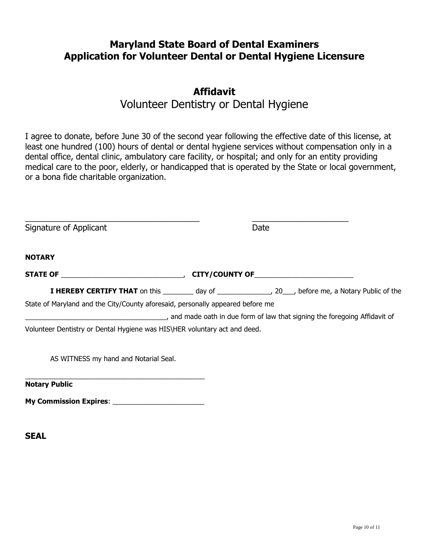# **Maryland State Board of Dental Examiners Application for Volunteer Dental or Dental Hygiene Licensure**

# **Affidavit** Volunteer Dentistry or Dental Hygiene

I agree to donate, before June 30 of the second year following the effective date of this license, at least one hundred (100) hours of dental or dental hygiene services without compensation only in a

dental office, dental clinic, ambulatory care facility, or hospital; and only for an entity providing medical care to the poor, elderly, or handicapped that is operated by the State or local government, or a bona fide charitable organization.

| Signature of Applicant                                                         | Date                                                                                                                 |
|--------------------------------------------------------------------------------|----------------------------------------------------------------------------------------------------------------------|
| NOTARY                                                                         |                                                                                                                      |
|                                                                                |                                                                                                                      |
|                                                                                | <b>I HEREBY CERTIFY THAT</b> on this __________ day of _________________, 20___, before me, a Notary Public of the   |
| State of Maryland and the City/County aforesaid, personally appeared before me |                                                                                                                      |
|                                                                                | and made oath in due form of law that signing the foregoing Affidavit of law that signing the foregoing Affidavit of |
| Volunteer Dentistry or Dental Hygiene was HIS\HER voluntary act and deed.      |                                                                                                                      |
| AS WITNESS my hand and Notarial Seal.                                          |                                                                                                                      |
| <b>Notary Public</b>                                                           |                                                                                                                      |
|                                                                                |                                                                                                                      |

**SEAL**